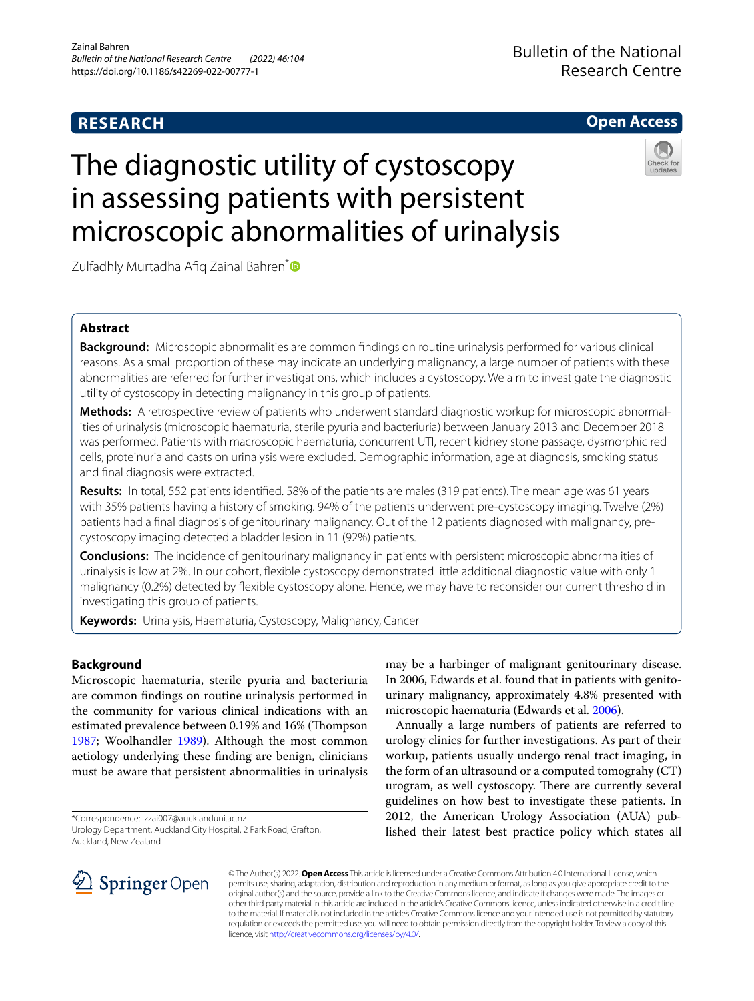# **RESEARCH**

# **Open Access**

# The diagnostic utility of cystoscopy in assessing patients with persistent microscopic abnormalities of urinalysis



Zulfadhly Murtadha Afiq Zainal Bahren<sup>[\\*](http://orcid.org/0000-0003-3425-7384)</sup>

# **Abstract**

**Background:** Microscopic abnormalities are common fndings on routine urinalysis performed for various clinical reasons. As a small proportion of these may indicate an underlying malignancy, a large number of patients with these abnormalities are referred for further investigations, which includes a cystoscopy. We aim to investigate the diagnostic utility of cystoscopy in detecting malignancy in this group of patients.

**Methods:** A retrospective review of patients who underwent standard diagnostic workup for microscopic abnormalities of urinalysis (microscopic haematuria, sterile pyuria and bacteriuria) between January 2013 and December 2018 was performed. Patients with macroscopic haematuria, concurrent UTI, recent kidney stone passage, dysmorphic red cells, proteinuria and casts on urinalysis were excluded. Demographic information, age at diagnosis, smoking status and fnal diagnosis were extracted.

**Results:** In total, 552 patients identifed. 58% of the patients are males (319 patients). The mean age was 61 years with 35% patients having a history of smoking. 94% of the patients underwent pre-cystoscopy imaging. Twelve (2%) patients had a fnal diagnosis of genitourinary malignancy. Out of the 12 patients diagnosed with malignancy, precystoscopy imaging detected a bladder lesion in 11 (92%) patients.

**Conclusions:** The incidence of genitourinary malignancy in patients with persistent microscopic abnormalities of urinalysis is low at 2%. In our cohort, fexible cystoscopy demonstrated little additional diagnostic value with only 1 malignancy (0.2%) detected by fexible cystoscopy alone. Hence, we may have to reconsider our current threshold in investigating this group of patients.

**Keywords:** Urinalysis, Haematuria, Cystoscopy, Malignancy, Cancer

# **Background**

Microscopic haematuria, sterile pyuria and bacteriuria are common fndings on routine urinalysis performed in the community for various clinical indications with an estimated prevalence between 0.19% and 16% (Thompson [1987](#page-5-0); Woolhandler [1989\)](#page-5-1). Although the most common aetiology underlying these fnding are benign, clinicians must be aware that persistent abnormalities in urinalysis

\*Correspondence: zzai007@aucklanduni.ac.nz



Annually a large numbers of patients are referred to urology clinics for further investigations. As part of their workup, patients usually undergo renal tract imaging, in the form of an ultrasound or a computed tomograhy (CT) urogram, as well cystoscopy. There are currently several guidelines on how best to investigate these patients. In 2012, the American Urology Association (AUA) published their latest best practice policy which states all



© The Author(s) 2022. **Open Access** This article is licensed under a Creative Commons Attribution 4.0 International License, which permits use, sharing, adaptation, distribution and reproduction in any medium or format, as long as you give appropriate credit to the original author(s) and the source, provide a link to the Creative Commons licence, and indicate if changes were made. The images or other third party material in this article are included in the article's Creative Commons licence, unless indicated otherwise in a credit line to the material. If material is not included in the article's Creative Commons licence and your intended use is not permitted by statutory regulation or exceeds the permitted use, you will need to obtain permission directly from the copyright holder. To view a copy of this licence, visit [http://creativecommons.org/licenses/by/4.0/.](http://creativecommons.org/licenses/by/4.0/)

Urology Department, Auckland City Hospital, 2 Park Road, Grafton, Auckland, New Zealand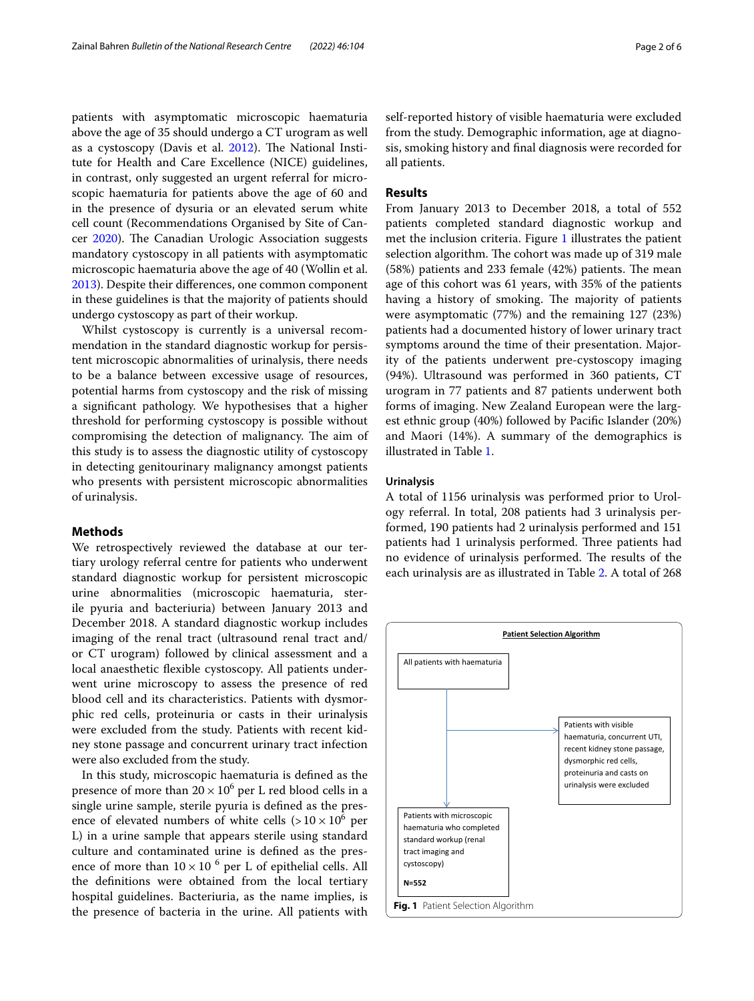patients with asymptomatic microscopic haematuria above the age of 35 should undergo a CT urogram as well as a cystoscopy (Davis et al. [2012](#page-5-3)). The National Institute for Health and Care Excellence (NICE) guidelines, in contrast, only suggested an urgent referral for microscopic haematuria for patients above the age of 60 and in the presence of dysuria or an elevated serum white cell count (Recommendations Organised by Site of Can-cer [2020\)](#page-5-4). The Canadian Urologic Association suggests mandatory cystoscopy in all patients with asymptomatic microscopic haematuria above the age of 40 (Wollin et al. [2013](#page-5-5)). Despite their diferences, one common component in these guidelines is that the majority of patients should undergo cystoscopy as part of their workup.

Whilst cystoscopy is currently is a universal recommendation in the standard diagnostic workup for persistent microscopic abnormalities of urinalysis, there needs to be a balance between excessive usage of resources, potential harms from cystoscopy and the risk of missing a signifcant pathology. We hypothesises that a higher threshold for performing cystoscopy is possible without compromising the detection of malignancy. The aim of this study is to assess the diagnostic utility of cystoscopy in detecting genitourinary malignancy amongst patients who presents with persistent microscopic abnormalities of urinalysis.

## **Methods**

We retrospectively reviewed the database at our tertiary urology referral centre for patients who underwent standard diagnostic workup for persistent microscopic urine abnormalities (microscopic haematuria, sterile pyuria and bacteriuria) between January 2013 and December 2018. A standard diagnostic workup includes imaging of the renal tract (ultrasound renal tract and/ or CT urogram) followed by clinical assessment and a local anaesthetic flexible cystoscopy. All patients underwent urine microscopy to assess the presence of red blood cell and its characteristics. Patients with dysmorphic red cells, proteinuria or casts in their urinalysis were excluded from the study. Patients with recent kidney stone passage and concurrent urinary tract infection were also excluded from the study.

In this study, microscopic haematuria is defned as the presence of more than  $20 \times 10^6$  per L red blood cells in a single urine sample, sterile pyuria is defned as the presence of elevated numbers of white cells  $(>10 \times 10^6$  per L) in a urine sample that appears sterile using standard culture and contaminated urine is defned as the presence of more than  $10 \times 10^{-6}$  per L of epithelial cells. All the defnitions were obtained from the local tertiary hospital guidelines. Bacteriuria, as the name implies, is the presence of bacteria in the urine. All patients with

self-reported history of visible haematuria were excluded from the study. Demographic information, age at diagnosis, smoking history and fnal diagnosis were recorded for all patients.

# **Results**

From January 2013 to December 2018, a total of 552 patients completed standard diagnostic workup and met the inclusion criteria. Figure [1](#page-1-0) illustrates the patient selection algorithm. The cohort was made up of 319 male  $(58%)$  patients and 233 female  $(42%)$  patients. The mean age of this cohort was 61 years, with 35% of the patients having a history of smoking. The majority of patients were asymptomatic (77%) and the remaining 127 (23%) patients had a documented history of lower urinary tract symptoms around the time of their presentation. Majority of the patients underwent pre-cystoscopy imaging (94%). Ultrasound was performed in 360 patients, CT urogram in 77 patients and 87 patients underwent both forms of imaging. New Zealand European were the largest ethnic group (40%) followed by Pacifc Islander (20%) and Maori (14%). A summary of the demographics is illustrated in Table [1](#page-2-0).

## **Urinalysis**

A total of 1156 urinalysis was performed prior to Urology referral. In total, 208 patients had 3 urinalysis performed, 190 patients had 2 urinalysis performed and 151 patients had 1 urinalysis performed. Three patients had no evidence of urinalysis performed. The results of the each urinalysis are as illustrated in Table [2.](#page-2-1) A total of 268

<span id="page-1-0"></span>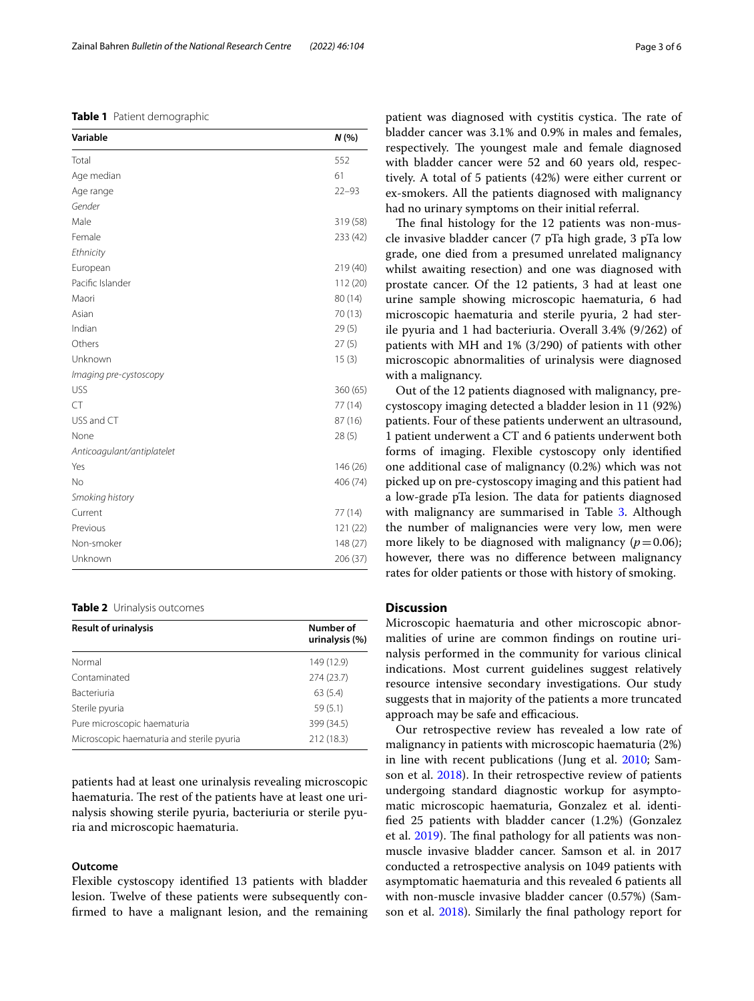### <span id="page-2-0"></span>**Table 1** Patient demographic

| Variable                   | N (%)     |
|----------------------------|-----------|
| Total                      | 552       |
| Age median                 | 61        |
| Age range                  | $22 - 93$ |
| Gender                     |           |
| Male                       | 319 (58)  |
| Female                     | 233 (42)  |
| Ethnicity                  |           |
| European                   | 219 (40)  |
| Pacific Islander           | 112 (20)  |
| Maori                      | 80 (14)   |
| Asian                      | 70 (13)   |
| Indian                     | 29(5)     |
| Others                     | 27(5)     |
| Unknown                    | 15(3)     |
| Imaging pre-cystoscopy     |           |
| <b>USS</b>                 | 360 (65)  |
| <b>CT</b>                  | 77 (14)   |
| USS and CT                 | 87 (16)   |
| None                       | 28(5)     |
| Anticoagulant/antiplatelet |           |
| Yes                        | 146 (26)  |
| No                         | 406 (74)  |
| Smoking history            |           |
| Current                    | 77 (14)   |
| Previous                   | 121 (22)  |
| Non-smoker                 | 148 (27)  |
| Unknown                    | 206 (37)  |

#### <span id="page-2-1"></span>**Table 2** Urinalysis outcomes

| <b>Result of urinalysis</b>               | Number of<br>urinalysis (%) |  |
|-------------------------------------------|-----------------------------|--|
| Normal                                    | 149 (12.9)                  |  |
| Contaminated                              | 274(23.7)                   |  |
| <b>Bacteriuria</b>                        | 63(5.4)                     |  |
| Sterile pyuria                            | 59(5.1)                     |  |
| Pure microscopic haematuria               | 399 (34.5)                  |  |
| Microscopic haematuria and sterile pyuria | 212 (18.3)                  |  |

patients had at least one urinalysis revealing microscopic haematuria. The rest of the patients have at least one urinalysis showing sterile pyuria, bacteriuria or sterile pyuria and microscopic haematuria.

#### **Outcome**

Flexible cystoscopy identifed 13 patients with bladder lesion. Twelve of these patients were subsequently confrmed to have a malignant lesion, and the remaining patient was diagnosed with cystitis cystica. The rate of bladder cancer was 3.1% and 0.9% in males and females, respectively. The youngest male and female diagnosed with bladder cancer were 52 and 60 years old, respectively. A total of 5 patients (42%) were either current or ex-smokers. All the patients diagnosed with malignancy had no urinary symptoms on their initial referral.

The final histology for the 12 patients was non-muscle invasive bladder cancer (7 pTa high grade, 3 pTa low grade, one died from a presumed unrelated malignancy whilst awaiting resection) and one was diagnosed with prostate cancer. Of the 12 patients, 3 had at least one urine sample showing microscopic haematuria, 6 had microscopic haematuria and sterile pyuria, 2 had sterile pyuria and 1 had bacteriuria. Overall 3.4% (9/262) of patients with MH and 1% (3/290) of patients with other microscopic abnormalities of urinalysis were diagnosed with a malignancy.

Out of the 12 patients diagnosed with malignancy, precystoscopy imaging detected a bladder lesion in 11 (92%) patients. Four of these patients underwent an ultrasound, 1 patient underwent a CT and 6 patients underwent both forms of imaging. Flexible cystoscopy only identifed one additional case of malignancy (0.2%) which was not picked up on pre-cystoscopy imaging and this patient had a low-grade pTa lesion. The data for patients diagnosed with malignancy are summarised in Table [3](#page-3-0). Although the number of malignancies were very low, men were more likely to be diagnosed with malignancy  $(p=0.06)$ ; however, there was no diference between malignancy rates for older patients or those with history of smoking.

# **Discussion**

Microscopic haematuria and other microscopic abnormalities of urine are common fndings on routine urinalysis performed in the community for various clinical indications. Most current guidelines suggest relatively resource intensive secondary investigations. Our study suggests that in majority of the patients a more truncated approach may be safe and efficacious.

Our retrospective review has revealed a low rate of malignancy in patients with microscopic haematuria (2%) in line with recent publications (Jung et al. [2010](#page-5-6); Samson et al. [2018](#page-5-7)). In their retrospective review of patients undergoing standard diagnostic workup for asymptomatic microscopic haematuria, Gonzalez et al. identifed 25 patients with bladder cancer (1.2%) (Gonzalez et al. [2019](#page-5-8)). The final pathology for all patients was nonmuscle invasive bladder cancer. Samson et al. in 2017 conducted a retrospective analysis on 1049 patients with asymptomatic haematuria and this revealed 6 patients all with non-muscle invasive bladder cancer (0.57%) (Samson et al. [2018](#page-5-7)). Similarly the fnal pathology report for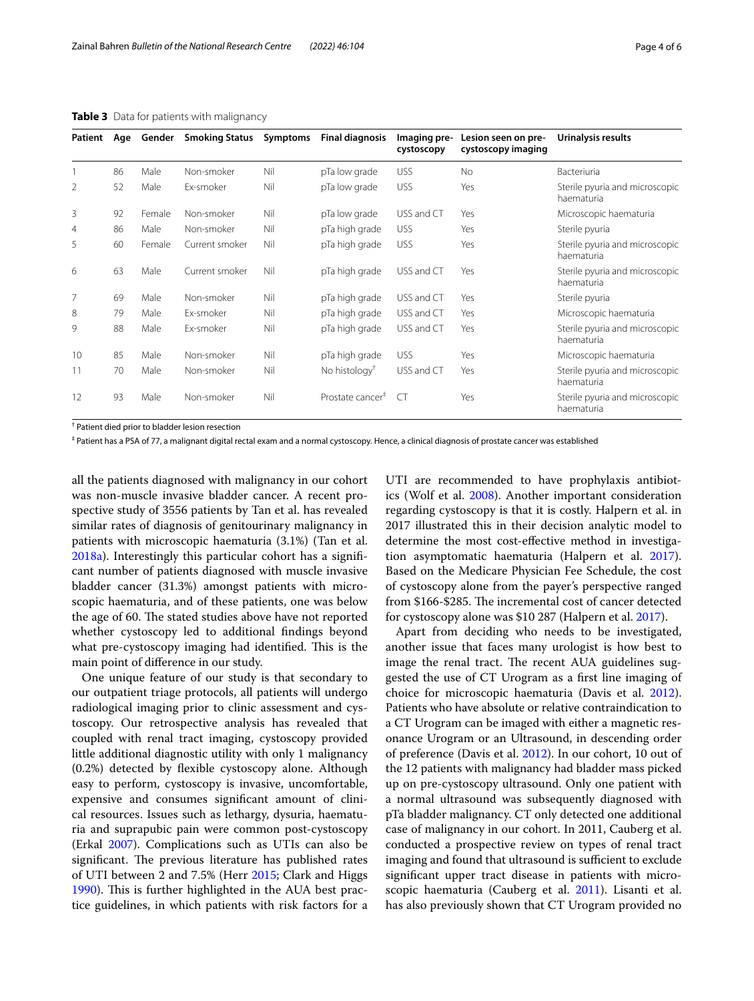| Patient        | Age | Gender | <b>Smoking Status</b> | Symptoms | <b>Final diagnosis</b>       | Imaging pre-<br>cystoscopy | Lesion seen on pre-<br>cystoscopy imaging | Urinalysis results                           |
|----------------|-----|--------|-----------------------|----------|------------------------------|----------------------------|-------------------------------------------|----------------------------------------------|
|                | 86  | Male   | Non-smoker            | Nil      | pTa low grade                | <b>USS</b>                 | <b>No</b>                                 | Bacteriuria                                  |
| 2              | 52  | Male   | Ex-smoker             | Nil      | pTa low grade                | <b>USS</b>                 | Yes                                       | Sterile pyuria and microscopic<br>haematuria |
| 3              | 92  | Female | Non-smoker            | Nil      | pTa low grade                | USS and CT                 | Yes                                       | Microscopic haematuria                       |
| $\overline{4}$ | 86  | Male   | Non-smoker            | Nil      | pTa high grade               | <b>USS</b>                 | Yes                                       | Sterile pyuria                               |
| 5              | 60  | Female | Current smoker        | Nil      | pTa high grade               | <b>USS</b>                 | Yes                                       | Sterile pyuria and microscopic<br>haematuria |
| 6              | 63  | Male   | Current smoker        | Nil      | pTa high grade               | USS and CT                 | Yes                                       | Sterile pyuria and microscopic<br>haematuria |
| 7              | 69  | Male   | Non-smoker            | Nil      | pTa high grade               | USS and CT                 | Yes                                       | Sterile pyuria                               |
| 8              | 79  | Male   | Ex-smoker             | Nil      | pTa high grade               | USS and CT                 | Yes                                       | Microscopic haematuria                       |
| 9              | 88  | Male   | Ex-smoker             | Nil      | pTa high grade               | USS and CT                 | Yes                                       | Sterile pyuria and microscopic<br>haematuria |
| 10             | 85  | Male   | Non-smoker            | Nil      | pTa high grade               | <b>USS</b>                 | Yes                                       | Microscopic haematuria                       |
| 11             | 70  | Male   | Non-smoker            | Nil      | No histology <sup>†</sup>    | USS and CT                 | Yes                                       | Sterile pyuria and microscopic<br>haematuria |
| 12             | 93  | Male   | Non-smoker            | Nil      | Prostate cancer <sup>#</sup> | CT.                        | Yes                                       | Sterile pyuria and microscopic<br>haematuria |

## <span id="page-3-0"></span>**Table 3** Data for patients with malignancy

† Patient died prior to bladder lesion resection

‡ Patient has a PSA of 77, a malignant digital rectal exam and a normal cystoscopy. Hence, a clinical diagnosis of prostate cancer was established

all the patients diagnosed with malignancy in our cohort was non-muscle invasive bladder cancer. A recent prospective study of 3556 patients by Tan et al. has revealed similar rates of diagnosis of genitourinary malignancy in patients with microscopic haematuria (3.1%) (Tan et al. [2018a\)](#page-5-9). Interestingly this particular cohort has a signifcant number of patients diagnosed with muscle invasive bladder cancer (31.3%) amongst patients with microscopic haematuria, and of these patients, one was below the age of 60. The stated studies above have not reported whether cystoscopy led to additional fndings beyond what pre-cystoscopy imaging had identified. This is the main point of diference in our study.

One unique feature of our study is that secondary to our outpatient triage protocols, all patients will undergo radiological imaging prior to clinic assessment and cystoscopy. Our retrospective analysis has revealed that coupled with renal tract imaging, cystoscopy provided little additional diagnostic utility with only 1 malignancy (0.2%) detected by fexible cystoscopy alone. Although easy to perform, cystoscopy is invasive, uncomfortable, expensive and consumes signifcant amount of clinical resources. Issues such as lethargy, dysuria, haematuria and suprapubic pain were common post-cystoscopy (Erkal [2007](#page-5-10)). Complications such as UTIs can also be significant. The previous literature has published rates of UTI between 2 and 7.5% (Herr [2015](#page-5-11); Clark and Higgs [1990](#page-5-12)). This is further highlighted in the AUA best practice guidelines, in which patients with risk factors for a UTI are recommended to have prophylaxis antibiotics (Wolf et al. [2008](#page-5-13)). Another important consideration regarding cystoscopy is that it is costly. Halpern et al. in 2017 illustrated this in their decision analytic model to determine the most cost-efective method in investigation asymptomatic haematuria (Halpern et al. [2017](#page-5-14)). Based on the Medicare Physician Fee Schedule, the cost of cystoscopy alone from the payer's perspective ranged from \$166-\$285. The incremental cost of cancer detected for cystoscopy alone was \$10 287 (Halpern et al. [2017](#page-5-14)).

Apart from deciding who needs to be investigated, another issue that faces many urologist is how best to image the renal tract. The recent AUA guidelines suggested the use of CT Urogram as a frst line imaging of choice for microscopic haematuria (Davis et al. [2012](#page-5-3)). Patients who have absolute or relative contraindication to a CT Urogram can be imaged with either a magnetic resonance Urogram or an Ultrasound, in descending order of preference (Davis et al. [2012](#page-5-3)). In our cohort, 10 out of the 12 patients with malignancy had bladder mass picked up on pre-cystoscopy ultrasound. Only one patient with a normal ultrasound was subsequently diagnosed with pTa bladder malignancy. CT only detected one additional case of malignancy in our cohort. In 2011, Cauberg et al. conducted a prospective review on types of renal tract imaging and found that ultrasound is sufficient to exclude signifcant upper tract disease in patients with microscopic haematuria (Cauberg et al. [2011](#page-5-15)). Lisanti et al. has also previously shown that CT Urogram provided no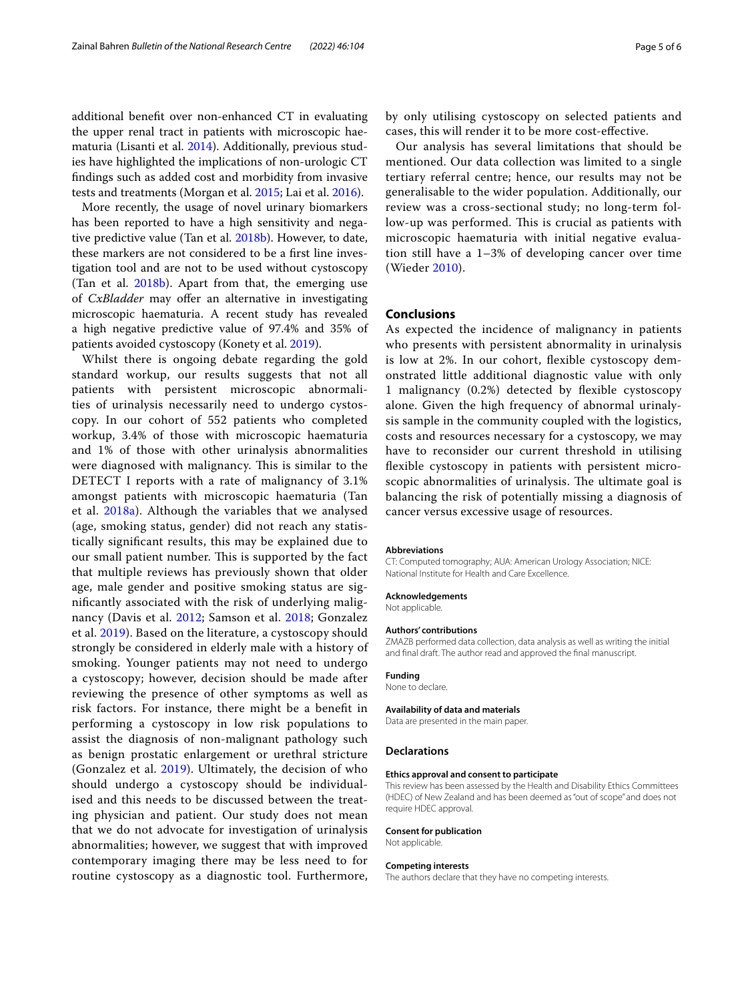additional beneft over non-enhanced CT in evaluating the upper renal tract in patients with microscopic haematuria (Lisanti et al. [2014\)](#page-5-16). Additionally, previous studies have highlighted the implications of non-urologic CT fndings such as added cost and morbidity from invasive tests and treatments (Morgan et al. [2015](#page-5-17); Lai et al. [2016](#page-5-18)).

More recently, the usage of novel urinary biomarkers has been reported to have a high sensitivity and negative predictive value (Tan et al. [2018b\)](#page-5-19). However, to date, these markers are not considered to be a frst line investigation tool and are not to be used without cystoscopy (Tan et al.  $2018b$ ). Apart from that, the emerging use of *CxBladder* may offer an alternative in investigating microscopic haematuria. A recent study has revealed a high negative predictive value of 97.4% and 35% of patients avoided cystoscopy (Konety et al. [2019\)](#page-5-20).

Whilst there is ongoing debate regarding the gold standard workup, our results suggests that not all patients with persistent microscopic abnormalities of urinalysis necessarily need to undergo cystoscopy. In our cohort of 552 patients who completed workup, 3.4% of those with microscopic haematuria and 1% of those with other urinalysis abnormalities were diagnosed with malignancy. This is similar to the DETECT I reports with a rate of malignancy of 3.1% amongst patients with microscopic haematuria (Tan et al. [2018a\)](#page-5-9). Although the variables that we analysed (age, smoking status, gender) did not reach any statistically signifcant results, this may be explained due to our small patient number. This is supported by the fact that multiple reviews has previously shown that older age, male gender and positive smoking status are signifcantly associated with the risk of underlying malignancy (Davis et al. [2012](#page-5-3); Samson et al. [2018;](#page-5-7) Gonzalez et al. [2019](#page-5-8)). Based on the literature, a cystoscopy should strongly be considered in elderly male with a history of smoking. Younger patients may not need to undergo a cystoscopy; however, decision should be made after reviewing the presence of other symptoms as well as risk factors. For instance, there might be a beneft in performing a cystoscopy in low risk populations to assist the diagnosis of non-malignant pathology such as benign prostatic enlargement or urethral stricture (Gonzalez et al. [2019](#page-5-8)). Ultimately, the decision of who should undergo a cystoscopy should be individualised and this needs to be discussed between the treating physician and patient. Our study does not mean that we do not advocate for investigation of urinalysis abnormalities; however, we suggest that with improved contemporary imaging there may be less need to for routine cystoscopy as a diagnostic tool. Furthermore, by only utilising cystoscopy on selected patients and cases, this will render it to be more cost-efective.

Our analysis has several limitations that should be mentioned. Our data collection was limited to a single tertiary referral centre; hence, our results may not be generalisable to the wider population. Additionally, our review was a cross-sectional study; no long-term follow-up was performed. This is crucial as patients with microscopic haematuria with initial negative evaluation still have a 1–3% of developing cancer over time (Wieder [2010](#page-5-21)).

## **Conclusions**

As expected the incidence of malignancy in patients who presents with persistent abnormality in urinalysis is low at 2%. In our cohort, fexible cystoscopy demonstrated little additional diagnostic value with only 1 malignancy (0.2%) detected by fexible cystoscopy alone. Given the high frequency of abnormal urinalysis sample in the community coupled with the logistics, costs and resources necessary for a cystoscopy, we may have to reconsider our current threshold in utilising fexible cystoscopy in patients with persistent microscopic abnormalities of urinalysis. The ultimate goal is balancing the risk of potentially missing a diagnosis of cancer versus excessive usage of resources.

#### **Abbreviations**

CT: Computed tomography; AUA: American Urology Association; NICE: National Institute for Health and Care Excellence.

#### **Acknowledgements**

Not applicable.

#### **Authors' contributions**

ZMAZB performed data collection, data analysis as well as writing the initial and fnal draft. The author read and approved the fnal manuscript.

#### **Funding**

None to declare.

#### **Availability of data and materials**

Data are presented in the main paper.

#### **Declarations**

#### **Ethics approval and consent to participate**

This review has been assessed by the Health and Disability Ethics Committees (HDEC) of New Zealand and has been deemed as "out of scope" and does not require HDEC approval.

#### **Consent for publication**

Not applicable.

#### **Competing interests**

The authors declare that they have no competing interests.